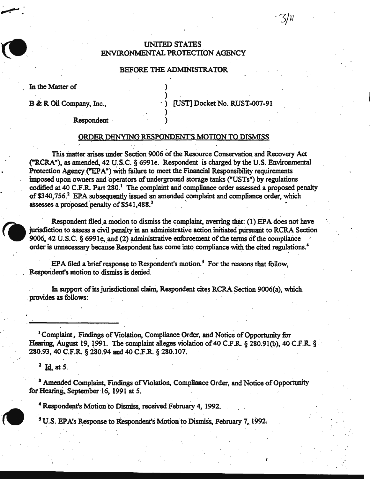## UNITED STATES ENVIRONMENTAL PROTECTION AGENCY

### BEFORE THE ADMINISTRATOR

) )

) .

In the Matter of

~.:

B & R Oil Company, Inc.,  $[UST] Docket No. RUST-007-91$ 

'3/ll

I

**Respondent** 

#### ORDER DENYING RESPONDENT'S MOTION TO DISMISS

This matter arises under Section 9006 of the Resource Conservation and Recovery Act ("RCRA "), as amended, 42 u;.s.c. § 6991e. Respondent is charged by the U.S. Environmental Protection Agency ("EPA") with failure to meet the Financial Responsibility requirements imposed upon owners and operators of underground storage tanks ("USTs") by regulations codified at 40 C.F.R. Part 280.<sup>1</sup> The complaint and compliance order assessed a proposed penalty of \$340,756.<sup>2</sup> EPA subsequently issued an amended complaint and compliance order, which assesses a proposed penalty of \$541,488.3

Respondent filed a motion to dismiss the complaint, averring that: (1) EPA does not have jurisdiction to assess a civil penalty in an administrative action initiated pursuant to RCRA Section 9006, 42 U.S.C. § 6991e, and (2) administrative enforcement of the terms of the compliance order is unnecessary because Respondent has come into compliance with the cited regulations.<sup>4</sup>

.. .

EPA filed a brief response to Respondent's motion.<sup>5</sup> For the reasons that follow, Respondent's motion to dismiss is denied.

In support of its jurisdictional claim, Respondent cites RCRA Section 9006(a), which provides as follows:

<sup>1</sup> Complaint, Findings of Violation, Compliance Order, and Notice of Opportunity for Hearing, August 19, 1991. The complaint alleges violation of 40 C.F.R.  $\S$  280.91(b), 40 C.F.R.  $\S$ . 280.93, 40 C.F.R. § 280.94 and 40 C.F.R. § 280.107.

 $2 \text{ Id. at } 5.$ 

. I

<sup>3</sup> Amended Complaint, Findings of Violation, Compliance Order, and Notice of Opportunity for Hearing. September 16, 1991 at 5.

<sup>4</sup> Respondent's Motion to Dismiss, received February 4, 1992.

<sup>5</sup> U.S. EPA's Response to Respondent's Motion to Dismiss, February 7, 1992.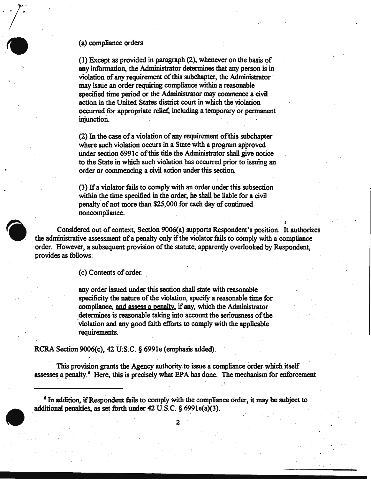#### (a) compliance orders

(1) Except as provided in paragraph (2), whenever on the basis of any information, the Administrator determines that any person is in violation of any requirement of this subchapter, the Administrator may issue an order requiring compliance within a reasonable specified time period or the Administrator may commence a civil action in the United States district court in which the violation occurred for appropriate relief, including a temporary or permanent injunction.

(2) In the case of a violation of any requirement of'this subchapter where such violation occurs in a State with a program approved under section 6991 c of this title the Administrator shall give notice to the State in which such violation has occurred prior to issuing an order or commencing a civil action under this section.

(3) If a violator fails to comply with an order under this subsection within the time specified in the order, he shall be liable for a civil penalty of not more than \$25,000 for each day of continued noncompliance.

J

Considered out of context, Section 9006(a) supports Respondent's position. It authorizes . the administrative assessment of a penalty only if the violator fails to comply with a compliance order. However, a subsequent provision of the statute, apparently overlooked by Respondent, provides as follows:

(c) Contents of order

any order issued under this section shall state with reasonable specificity the nature of the violation, specify a reasonable time for compliance, and assess a penalty, if any, which the Administrator determines is reasonable taking into account the seriousness of the violation and any good faith efforts to comply with the applicable requirements.

RCRA Section 9006(c), 42 U:S.C. § 6991e (emphasis added).

This provision grants the Agency authority to issue a compliance order which itself assesses a penalty.<sup>6</sup> Here, this is precisely what EPA has done. The mechanism for enforcement

<sup>6</sup> In addition, if Respondent fails to comply with the compliance order, it may be subject to additional penalties, as set forth under  $42$  U.S.C. § 6991e(a)(3). . .

2

.............................. \_\_\_\_\_\_\_\_\_\_\_\_\_\_\_\_ \_\_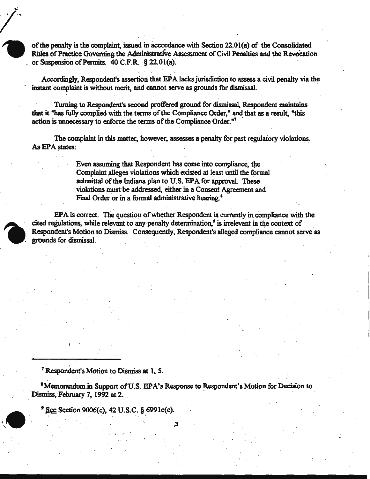of the penalty is the complaint, issued in &ccordance with Section 22.01(a) of the Consolidated Rules of Practice Governing the Administrative Assessment of Civil Penalties and the Revocation or Suspension of Permits.  $40$  C.F.R. § 22,01(a).

Accordingly, Respondent's assertion that EPA lacks jurisdiction to assess a civil penalty via the instant complaint is without merit, and cannot serve as grounds for dismissal.

Turning to Respondent's second proffered ground for dismissal, Respondent maintains that it "has fully complied with the terms of the Compliance Order," and that as a result, "this action is unnecessary to enforce the terms of the Compliance Order.<sup>"7</sup>  $7 \pm 7$  .  $\pm 7$  .  $\pm 7$  .

The complaint in this matter, however, assesses a penalty for past regulatory violations. As EPA states:

> Even assuming that Respondent has come into compliance, the Complaint alleges violations which existed at least until the formal submittal of the Indiana plan to U.S. EPA for approval. These violations must be addressed, either in a Consent Agreement and Final Order or in a formal administrative hearing.<sup>8</sup>

 $EPA$  is correct. The question of whether Respondent is currently in compliance with the cited regulations, while relevant to any penalty determination,<sup>9</sup> is irrelevant in the context of Respondent's Motion to Dismiss. Consequently, Respondent's alleged compliance cannot serve as grounds for dismissal.

<sup>1</sup>Respondent's Motion to Dismiss at 1, *S.* 

<sup>8</sup>Memorandum in Support of U.S. EPA's Response to Respondent's Motion for Decision to Dismiss, February 7, 1992 at 2.

3

See Section 9006(c), 42 U.S.C. § 6991e(c).

 $\cdot$   $\cdot$   $\cdot$